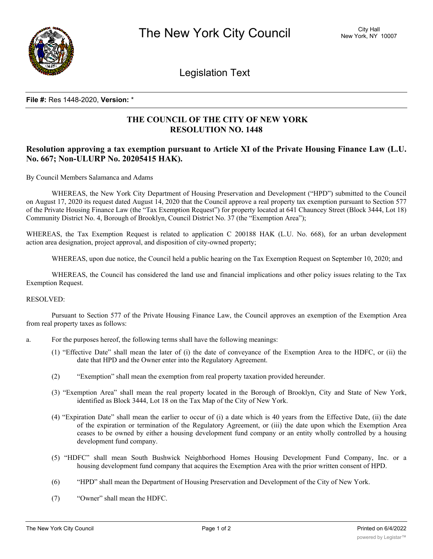

Legislation Text

### **File #:** Res 1448-2020, **Version:** \*

# **THE COUNCIL OF THE CITY OF NEW YORK RESOLUTION NO. 1448**

## **Resolution approving a tax exemption pursuant to Article XI of the Private Housing Finance Law (L.U. No. 667; Non-ULURP No. 20205415 HAK).**

By Council Members Salamanca and Adams

WHEREAS, the New York City Department of Housing Preservation and Development ("HPD") submitted to the Council on August 17, 2020 its request dated August 14, 2020 that the Council approve a real property tax exemption pursuant to Section 577 of the Private Housing Finance Law (the "Tax Exemption Request") for property located at 641 Chauncey Street (Block 3444, Lot 18) Community District No. 4, Borough of Brooklyn, Council District No. 37 (the "Exemption Area");

WHEREAS, the Tax Exemption Request is related to application C 200188 HAK (L.U. No. 668), for an urban development action area designation, project approval, and disposition of city-owned property;

WHEREAS, upon due notice, the Council held a public hearing on the Tax Exemption Request on September 10, 2020; and

WHEREAS, the Council has considered the land use and financial implications and other policy issues relating to the Tax Exemption Request.

### RESOLVED:

Pursuant to Section 577 of the Private Housing Finance Law, the Council approves an exemption of the Exemption Area from real property taxes as follows:

- a. For the purposes hereof, the following terms shall have the following meanings:
	- (1) "Effective Date" shall mean the later of (i) the date of conveyance of the Exemption Area to the HDFC, or (ii) the date that HPD and the Owner enter into the Regulatory Agreement.
	- (2) "Exemption" shall mean the exemption from real property taxation provided hereunder.
	- (3) "Exemption Area" shall mean the real property located in the Borough of Brooklyn, City and State of New York, identified as Block 3444, Lot 18 on the Tax Map of the City of New York.
	- (4) "Expiration Date" shall mean the earlier to occur of (i) a date which is 40 years from the Effective Date, (ii) the date of the expiration or termination of the Regulatory Agreement, or (iii) the date upon which the Exemption Area ceases to be owned by either a housing development fund company or an entity wholly controlled by a housing development fund company.
	- (5) "HDFC" shall mean South Bushwick Neighborhood Homes Housing Development Fund Company, Inc. or a housing development fund company that acquires the Exemption Area with the prior written consent of HPD.
	- (6) "HPD" shall mean the Department of Housing Preservation and Development of the City of New York.
	- (7) "Owner" shall mean the HDFC.